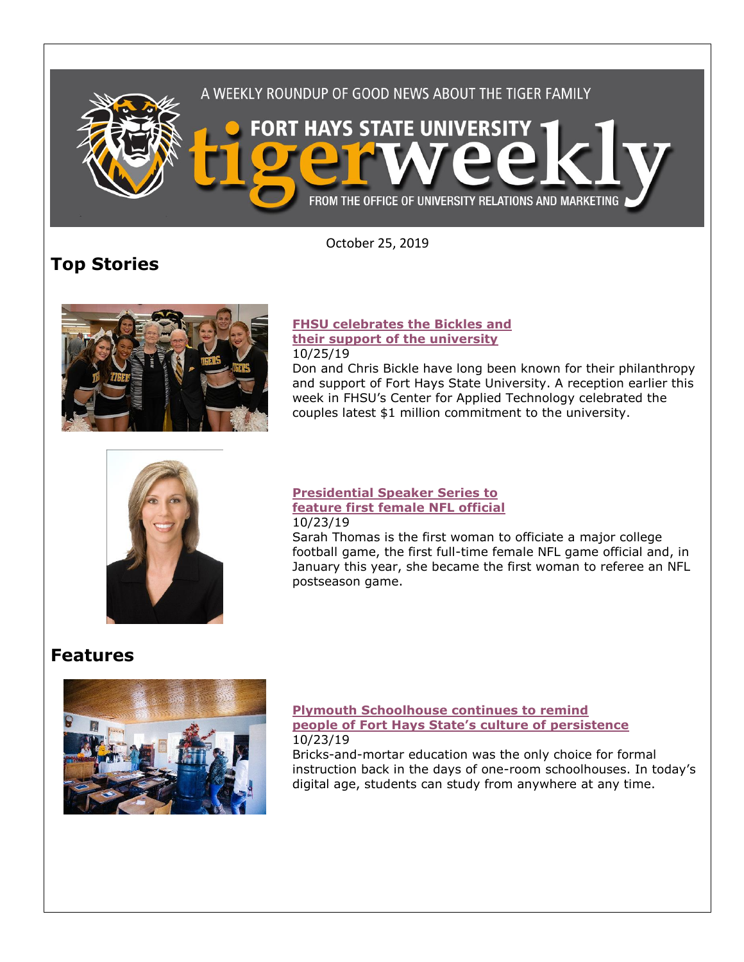

October 25, 2019

# **Top Stories**



### **[FHSU celebrates the Bickles and](https://www.fhsu.edu/news/2019/10/fhsu-celebrates-the-bickles-and-their-support-of-the-university)  [their support of the university](https://www.fhsu.edu/news/2019/10/fhsu-celebrates-the-bickles-and-their-support-of-the-university)** 10/25/19

Don and Chris Bickle have long been known for their philanthropy and support of Fort Hays State University. A reception earlier this week in FHSU's Center for Applied Technology celebrated the couples latest \$1 million commitment to the university.



### **[Presidential Speaker Series to](https://www.fhsu.edu/news/2019/10/first-woman-to-officiate-for-the-nfl-to-appear-for-fhsus-presidential-speaker-series)  [feature first female NFL official](https://www.fhsu.edu/news/2019/10/first-woman-to-officiate-for-the-nfl-to-appear-for-fhsus-presidential-speaker-series)** 10/23/19

Sarah Thomas is the first woman to officiate a major college football game, the first full-time female NFL game official and, in January this year, she became the first woman to referee an NFL postseason game.

## **Features**



**[Plymouth Schoolhouse continues to remind](https://www.fhsu.edu/news/2019/10/plymouth-schoolhouse-continues-to-remind-people-of-fort-hays-states-culture-of-persistence)  [people of Fort Hays State's culture of persistence](https://www.fhsu.edu/news/2019/10/plymouth-schoolhouse-continues-to-remind-people-of-fort-hays-states-culture-of-persistence)** 10/23/19

Bricks-and-mortar education was the only choice for formal instruction back in the days of one-room schoolhouses. In today's digital age, students can study from anywhere at any time.